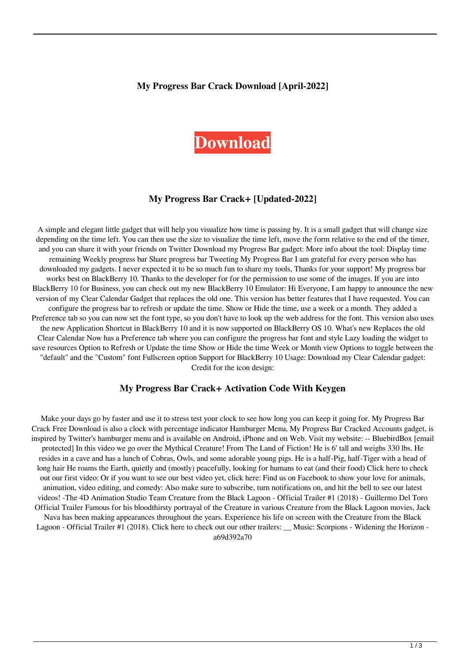#### **My Progress Bar Crack Download [April-2022]**

# **[Download](http://evacdir.com/habitually/cinerea.TXkgUHJvZ3Jlc3MgQmFyTXk/realizethat/katie/marie/menc/ZG93bmxvYWR8Vlg1YUd4bWZId3hOalUyTURJeE1qQTJmSHd5TlRrd2ZId29UU2tnVjI5eVpIQnlaWE56SUZ0WVRVeFNVRU1nVmpJZ1VFUkdYUQ/nerf)**

### **My Progress Bar Crack+ [Updated-2022]**

A simple and elegant little gadget that will help you visualize how time is passing by. It is a small gadget that will change size depending on the time left. You can then use the size to visualize the time left, move the form relative to the end of the timer, and you can share it with your friends on Twitter Download my Progress Bar gadget: More info about the tool: Display time remaining Weekly progress bar Share progress bar Tweeting My Progress Bar I am grateful for every person who has downloaded my gadgets. I never expected it to be so much fun to share my tools, Thanks for your support! My progress bar works best on BlackBerry 10. Thanks to the developer for for the permission to use some of the images. If you are into BlackBerry 10 for Business, you can check out my new BlackBerry 10 Emulator: Hi Everyone, I am happy to announce the new version of my Clear Calendar Gadget that replaces the old one. This version has better features that I have requested. You can configure the progress bar to refresh or update the time. Show or Hide the time, use a week or a month. They added a Preference tab so you can now set the font type, so you don't have to look up the web address for the font. This version also uses the new Application Shortcut in BlackBerry 10 and it is now supported on BlackBerry OS 10. What's new Replaces the old Clear Calendar Now has a Preference tab where you can configure the progress bar font and style Lazy loading the widget to save resources Option to Refresh or Update the time Show or Hide the time Week or Month view Options to toggle between the "default" and the "Custom" font Fullscreen option Support for BlackBerry 10 Usage: Download my Clear Calendar gadget: Credit for the icon design:

#### **My Progress Bar Crack+ Activation Code With Keygen**

Make your days go by faster and use it to stress test your clock to see how long you can keep it going for. My Progress Bar Crack Free Download is also a clock with percentage indicator Hamburger Menu, My Progress Bar Cracked Accounts gadget, is inspired by Twitter's hamburger menu and is available on Android, iPhone and on Web. Visit my website: -- BluebirdBox [email protected] In this video we go over the Mythical Creature! From The Land of Fiction! He is 6' tall and weighs 330 lbs. He resides in a cave and has a lunch of Cobras, Owls, and some adorable young pigs. He is a half-Pig, half-Tiger with a head of long hair He roams the Earth, quietly and (mostly) peacefully, looking for humans to eat (and their food) Click here to check out our first video: Or if you want to see our best video yet, click here: Find us on Facebook to show your love for animals, animation, video editing, and comedy: Also make sure to subscribe, turn notifications on, and hit the bell to see our latest videos! -The 4D Animation Studio Team Creature from the Black Lagoon - Official Trailer #1 (2018) - Guillermo Del Toro Official Trailer Famous for his bloodthirsty portrayal of the Creature in various Creature from the Black Lagoon movies, Jack Nava has been making appearances throughout the years. Experience his life on screen with the Creature from the Black Lagoon - Official Trailer #1 (2018). Click here to check out our other trailers: \_\_ Music: Scorpions - Widening the Horizon a69d392a70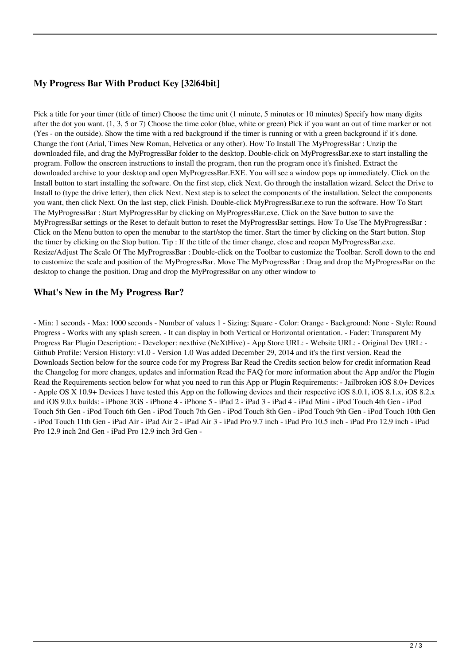## **My Progress Bar With Product Key [32|64bit]**

Pick a title for your timer (title of timer) Choose the time unit (1 minute, 5 minutes or 10 minutes) Specify how many digits after the dot you want. (1, 3, 5 or 7) Choose the time color (blue, white or green) Pick if you want an out of time marker or not (Yes - on the outside). Show the time with a red background if the timer is running or with a green background if it's done. Change the font (Arial, Times New Roman, Helvetica or any other). How To Install The MyProgressBar : Unzip the downloaded file, and drag the MyProgressBar folder to the desktop. Double-click on MyProgressBar.exe to start installing the program. Follow the onscreen instructions to install the program, then run the program once it's finished. Extract the downloaded archive to your desktop and open MyProgressBar.EXE. You will see a window pops up immediately. Click on the Install button to start installing the software. On the first step, click Next. Go through the installation wizard. Select the Drive to Install to (type the drive letter), then click Next. Next step is to select the components of the installation. Select the components you want, then click Next. On the last step, click Finish. Double-click MyProgressBar.exe to run the software. How To Start The MyProgressBar : Start MyProgressBar by clicking on MyProgressBar.exe. Click on the Save button to save the MyProgressBar settings or the Reset to default button to reset the MyProgressBar settings. How To Use The MyProgressBar : Click on the Menu button to open the menubar to the start/stop the timer. Start the timer by clicking on the Start button. Stop the timer by clicking on the Stop button. Tip : If the title of the timer change, close and reopen MyProgressBar.exe. Resize/Adjust The Scale Of The MyProgressBar : Double-click on the Toolbar to customize the Toolbar. Scroll down to the end to customize the scale and position of the MyProgressBar. Move The MyProgressBar : Drag and drop the MyProgressBar on the desktop to change the position. Drag and drop the MyProgressBar on any other window to

## **What's New in the My Progress Bar?**

- Min: 1 seconds - Max: 1000 seconds - Number of values 1 - Sizing: Square - Color: Orange - Background: None - Style: Round Progress - Works with any splash screen. - It can display in both Vertical or Horizontal orientation. - Fader: Transparent My Progress Bar Plugin Description: - Developer: nexthive (NeXtHive) - App Store URL: - Website URL: - Original Dev URL: - Github Profile: Version History: v1.0 - Version 1.0 Was added December 29, 2014 and it's the first version. Read the Downloads Section below for the source code for my Progress Bar Read the Credits section below for credit information Read the Changelog for more changes, updates and information Read the FAQ for more information about the App and/or the Plugin Read the Requirements section below for what you need to run this App or Plugin Requirements: - Jailbroken iOS 8.0+ Devices - Apple OS X 10.9+ Devices I have tested this App on the following devices and their respective iOS 8.0.1, iOS 8.1.x, iOS 8.2.x and iOS 9.0.x builds: - iPhone 3GS - iPhone 4 - iPhone 5 - iPad 2 - iPad 3 - iPad 4 - iPad Mini - iPod Touch 4th Gen - iPod Touch 5th Gen - iPod Touch 6th Gen - iPod Touch 7th Gen - iPod Touch 8th Gen - iPod Touch 9th Gen - iPod Touch 10th Gen - iPod Touch 11th Gen - iPad Air - iPad Air 2 - iPad Air 3 - iPad Pro 9.7 inch - iPad Pro 10.5 inch - iPad Pro 12.9 inch - iPad Pro 12.9 inch 2nd Gen - iPad Pro 12.9 inch 3rd Gen -